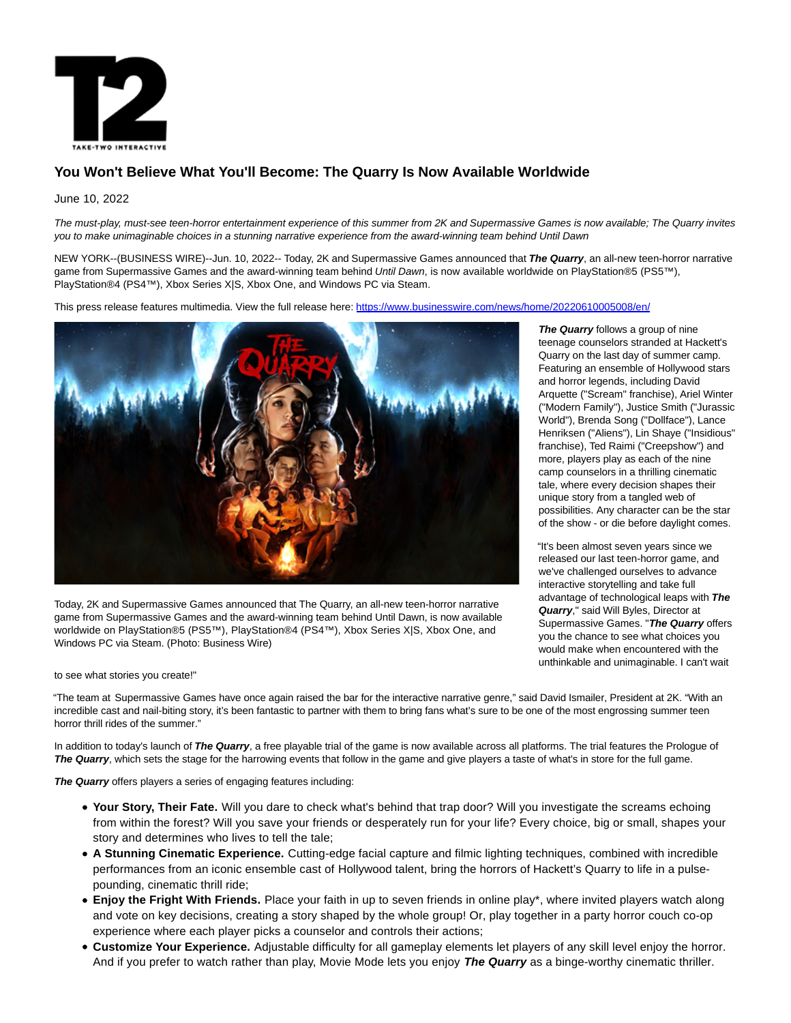

# **You Won't Believe What You'll Become: The Quarry Is Now Available Worldwide**

## June 10, 2022

The must-play, must-see teen-horror entertainment experience of this summer from 2K and Supermassive Games is now available; The Quarry invites you to make unimaginable choices in a stunning narrative experience from the award-winning team behind Until Dawn

NEW YORK--(BUSINESS WIRE)--Jun. 10, 2022-- Today, 2K and Supermassive Games announced that **The Quarry**, an all-new teen-horror narrative game from Supermassive Games and the award-winning team behind Until Dawn, is now available worldwide on PlayStation®5 (PS5™), PlayStation®4 (PS4™), Xbox Series X|S, Xbox One, and Windows PC via Steam.

This press release features multimedia. View the full release here:<https://www.businesswire.com/news/home/20220610005008/en/>



Today, 2K and Supermassive Games announced that The Quarry, an all-new teen-horror narrative game from Supermassive Games and the award-winning team behind Until Dawn, is now available worldwide on PlayStation®5 (PS5™), PlayStation®4 (PS4™), Xbox Series X|S, Xbox One, and Windows PC via Steam. (Photo: Business Wire)

**The Quarry** follows a group of nine teenage counselors stranded at Hackett's Quarry on the last day of summer camp. Featuring an ensemble of Hollywood stars and horror legends, including David Arquette ("Scream" franchise), Ariel Winter ("Modern Family"), Justice Smith ("Jurassic World"), Brenda Song ("Dollface"), Lance Henriksen ("Aliens"), Lin Shaye ("Insidious" franchise), Ted Raimi ("Creepshow") and more, players play as each of the nine camp counselors in a thrilling cinematic tale, where every decision shapes their unique story from a tangled web of possibilities. Any character can be the star of the show - or die before daylight comes.

"It's been almost seven years since we released our last teen-horror game, and we've challenged ourselves to advance interactive storytelling and take full advantage of technological leaps with **The Quarry**," said Will Byles, Director at Supermassive Games. "**The Quarry** offers you the chance to see what choices you would make when encountered with the unthinkable and unimaginable. I can't wait

to see what stories you create!"

"The team at Supermassive Games have once again raised the bar for the interactive narrative genre," said David Ismailer, President at 2K. "With an incredible cast and nail-biting story, it's been fantastic to partner with them to bring fans what's sure to be one of the most engrossing summer teen horror thrill rides of the summer."

In addition to today's launch of **The Quarry**, a free playable trial of the game is now available across all platforms. The trial features the Prologue of **The Quarry**, which sets the stage for the harrowing events that follow in the game and give players a taste of what's in store for the full game.

**The Quarry** offers players a series of engaging features including:

- **Your Story, Their Fate.** Will you dare to check what's behind that trap door? Will you investigate the screams echoing from within the forest? Will you save your friends or desperately run for your life? Every choice, big or small, shapes your story and determines who lives to tell the tale;
- **A Stunning Cinematic Experience.** Cutting-edge facial capture and filmic lighting techniques, combined with incredible performances from an iconic ensemble cast of Hollywood talent, bring the horrors of Hackett's Quarry to life in a pulsepounding, cinematic thrill ride;
- **Enjoy the Fright With Friends.** Place your faith in up to seven friends in online play\*, where invited players watch along and vote on key decisions, creating a story shaped by the whole group! Or, play together in a party horror couch co-op experience where each player picks a counselor and controls their actions;
- **Customize Your Experience.** Adjustable difficulty for all gameplay elements let players of any skill level enjoy the horror. And if you prefer to watch rather than play, Movie Mode lets you enjoy **The Quarry** as a binge-worthy cinematic thriller.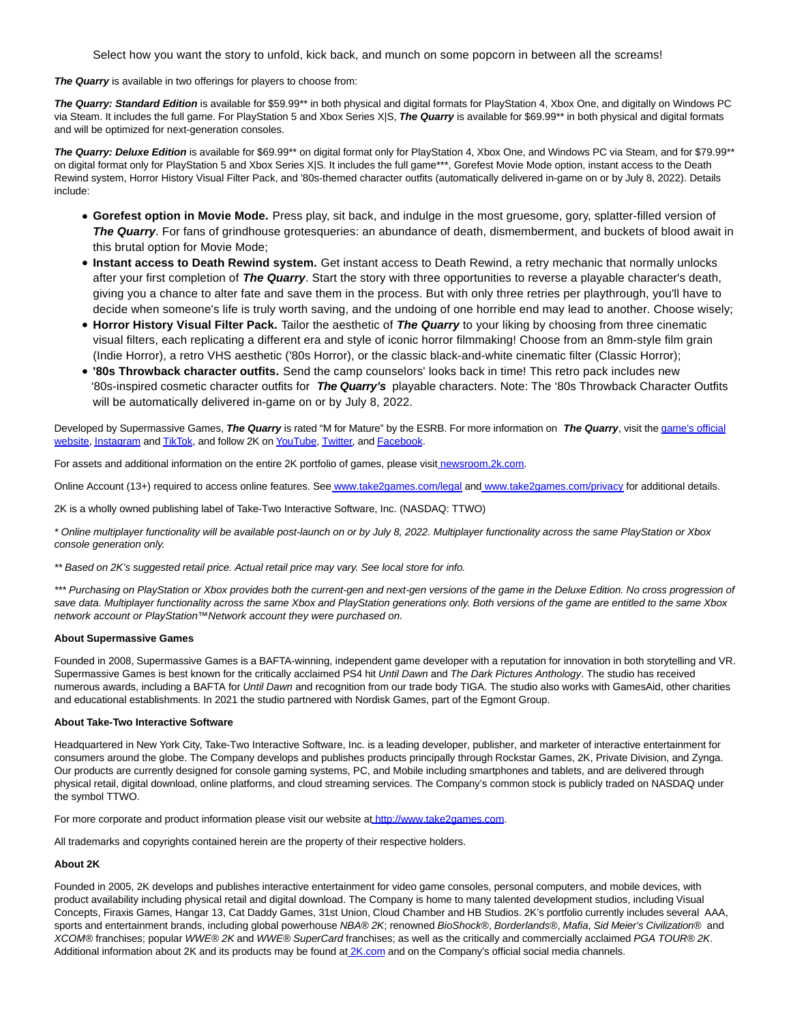Select how you want the story to unfold, kick back, and munch on some popcorn in between all the screams!

**The Quarry** is available in two offerings for players to choose from:

**The Quarry: Standard Edition** is available for \$59.99\*\* in both physical and digital formats for PlayStation 4, Xbox One, and digitally on Windows PC via Steam. It includes the full game. For PlayStation 5 and Xbox Series X|S, **The Quarry** is available for \$69.99\*\* in both physical and digital formats and will be optimized for next-generation consoles.

**The Quarry: Deluxe Edition** is available for \$69.99\*\* on digital format only for PlayStation 4, Xbox One, and Windows PC via Steam, and for \$79.99\*\* on digital format only for PlayStation 5 and Xbox Series X|S. It includes the full game\*\*\*, Gorefest Movie Mode option, instant access to the Death Rewind system, Horror History Visual Filter Pack, and '80s-themed character outfits (automatically delivered in-game on or by July 8, 2022). Details include:

- **Gorefest option in Movie Mode.** Press play, sit back, and indulge in the most gruesome, gory, splatter-filled version of **The Quarry**. For fans of grindhouse grotesqueries: an abundance of death, dismemberment, and buckets of blood await in this brutal option for Movie Mode;
- **Instant access to Death Rewind system.** Get instant access to Death Rewind, a retry mechanic that normally unlocks after your first completion of **The Quarry**. Start the story with three opportunities to reverse a playable character's death, giving you a chance to alter fate and save them in the process. But with only three retries per playthrough, you'll have to decide when someone's life is truly worth saving, and the undoing of one horrible end may lead to another. Choose wisely;
- **Horror History Visual Filter Pack.** Tailor the aesthetic of **The Quarry** to your liking by choosing from three cinematic visual filters, each replicating a different era and style of iconic horror filmmaking! Choose from an 8mm-style film grain (Indie Horror), a retro VHS aesthetic ('80s Horror), or the classic black-and-white cinematic filter (Classic Horror);
- **'80s Throwback character outfits.** Send the camp counselors' looks back in time! This retro pack includes new '80s-inspired cosmetic character outfits for **The Quarry's** playable characters. Note: The '80s Throwback Character Outfits will be automatically delivered in-game on or by July 8, 2022.

Developed by Supermassive Games, **The Quarry** is rated "M for Mature" by the ESRB. For more information on **The Quarry**, visit th[e game's official](https://cts.businesswire.com/ct/CT?id=smartlink&url=http%3A%2F%2Fwww.quarrygame.com&esheet=52744448&newsitemid=20220610005008&lan=en-US&anchor=game%27s+official+website&index=1&md5=c74f48d0c18cd6b02490ffc025d03068) website[, Instagram a](https://cts.businesswire.com/ct/CT?id=smartlink&url=http%3A%2F%2Finstagram.com%2Fvisitthequarry&esheet=52744448&newsitemid=20220610005008&lan=en-US&anchor=Instagram&index=2&md5=9e089f09559834df2b4caa351e0951af)n[d TikTok,](https://cts.businesswire.com/ct/CT?id=smartlink&url=http%3A%2F%2Ftiktok.com%2F%40visitthequarry&esheet=52744448&newsitemid=20220610005008&lan=en-US&anchor=TikTok&index=3&md5=5f50c2effea0a9b17d1fed330adb0c53) and follow 2K on [YouTube,](https://cts.businesswire.com/ct/CT?id=smartlink&url=https%3A%2F%2Fwww.youtube.com%2Fc%2F2k&esheet=52744448&newsitemid=20220610005008&lan=en-US&anchor=YouTube&index=4&md5=b7c284b12cb4876528982df13d517030) [Twitter,](https://cts.businesswire.com/ct/CT?id=smartlink&url=https%3A%2F%2Ftwitter.com%2F2k&esheet=52744448&newsitemid=20220610005008&lan=en-US&anchor=Twitter&index=5&md5=47060c704b891689fee7f8cc5ca95886) an[d Facebook.](https://cts.businesswire.com/ct/CT?id=smartlink&url=http%3A%2F%2Ffacebook.com%2F2k&esheet=52744448&newsitemid=20220610005008&lan=en-US&anchor=Facebook&index=6&md5=5da6e70eb876120d3375f3c5aef5017f)

For assets and additional information on the entire 2K portfolio of games, please visi[t newsroom.2k.com.](https://cts.businesswire.com/ct/CT?id=smartlink&url=https%3A%2F%2Fnewsroom.2k.com%2F&esheet=52744448&newsitemid=20220610005008&lan=en-US&anchor=newsroom.2k.com&index=7&md5=0e6ecebc49d9b76e8d8d6fe34dcbee2f)

Online Account (13+) required to access online features. Se[e www.take2games.com/legal a](https://cts.businesswire.com/ct/CT?id=smartlink&url=http%3A%2F%2Fwww.take2games.com%2Flegal&esheet=52744448&newsitemid=20220610005008&lan=en-US&anchor=www.take2games.com%2Flegal&index=8&md5=8e2f788648a197de6e225071b020e18f)n[d www.take2games.com/privacy f](https://cts.businesswire.com/ct/CT?id=smartlink&url=http%3A%2F%2Fwww.take2games.com%2Fprivacy&esheet=52744448&newsitemid=20220610005008&lan=en-US&anchor=www.take2games.com%2Fprivacy&index=9&md5=89ac848a08526721948fb1c3d277995b)or additional details.

2K is a wholly owned publishing label of Take-Two Interactive Software, Inc. (NASDAQ: TTWO)

\* Online multiplayer functionality will be available post-launch on or by July 8, 2022. Multiplayer functionality across the same PlayStation or Xbox console generation only.

\*\* Based on 2K's suggested retail price. Actual retail price may vary. See local store for info.

\*\*\* Purchasing on PlayStation or Xbox provides both the current-gen and next-gen versions of the game in the Deluxe Edition. No cross progression of save data. Multiplayer functionality across the same Xbox and PlayStation generations only. Both versions of the game are entitled to the same Xbox network account or PlayStation™Network account they were purchased on.

## **About Supermassive Games**

Founded in 2008, Supermassive Games is a BAFTA-winning, independent game developer with a reputation for innovation in both storytelling and VR. Supermassive Games is best known for the critically acclaimed PS4 hit Until Dawn and The Dark Pictures Anthology. The studio has received numerous awards, including a BAFTA for Until Dawn and recognition from our trade body TIGA. The studio also works with GamesAid, other charities and educational establishments. In 2021 the studio partnered with Nordisk Games, part of the Egmont Group.

### **About Take-Two Interactive Software**

Headquartered in New York City, Take-Two Interactive Software, Inc. is a leading developer, publisher, and marketer of interactive entertainment for consumers around the globe. The Company develops and publishes products principally through Rockstar Games, 2K, Private Division, and Zynga. Our products are currently designed for console gaming systems, PC, and Mobile including smartphones and tablets, and are delivered through physical retail, digital download, online platforms, and cloud streaming services. The Company's common stock is publicly traded on NASDAQ under the symbol TTWO.

For more corporate and product information please visit our website [at http://www.take2games.com.](https://cts.businesswire.com/ct/CT?id=smartlink&url=http%3A%2F%2Fwww.take2games.com%2F&esheet=52744448&newsitemid=20220610005008&lan=en-US&anchor=http%3A%2F%2Fwww.take2games.com&index=10&md5=bce26e647cf2a6752f246ff2fa357da1)

All trademarks and copyrights contained herein are the property of their respective holders.

#### **About 2K**

Founded in 2005, 2K develops and publishes interactive entertainment for video game consoles, personal computers, and mobile devices, with product availability including physical retail and digital download. The Company is home to many talented development studios, including Visual Concepts, Firaxis Games, Hangar 13, Cat Daddy Games, 31st Union, Cloud Chamber and HB Studios. 2K's portfolio currently includes several AAA, sports and entertainment brands, including global powerhouse NBA® 2K; renowned BioShock®, Borderlands®, Mafia, Sid Meier's Civilization® and XCOM® franchises; popular WWE® 2K and WWE® SuperCard franchises; as well as the critically and commercially acclaimed PGA TOUR® 2K. Additional information about 2K and its products may be found at **2K.com** and on the Company's official social media channels.